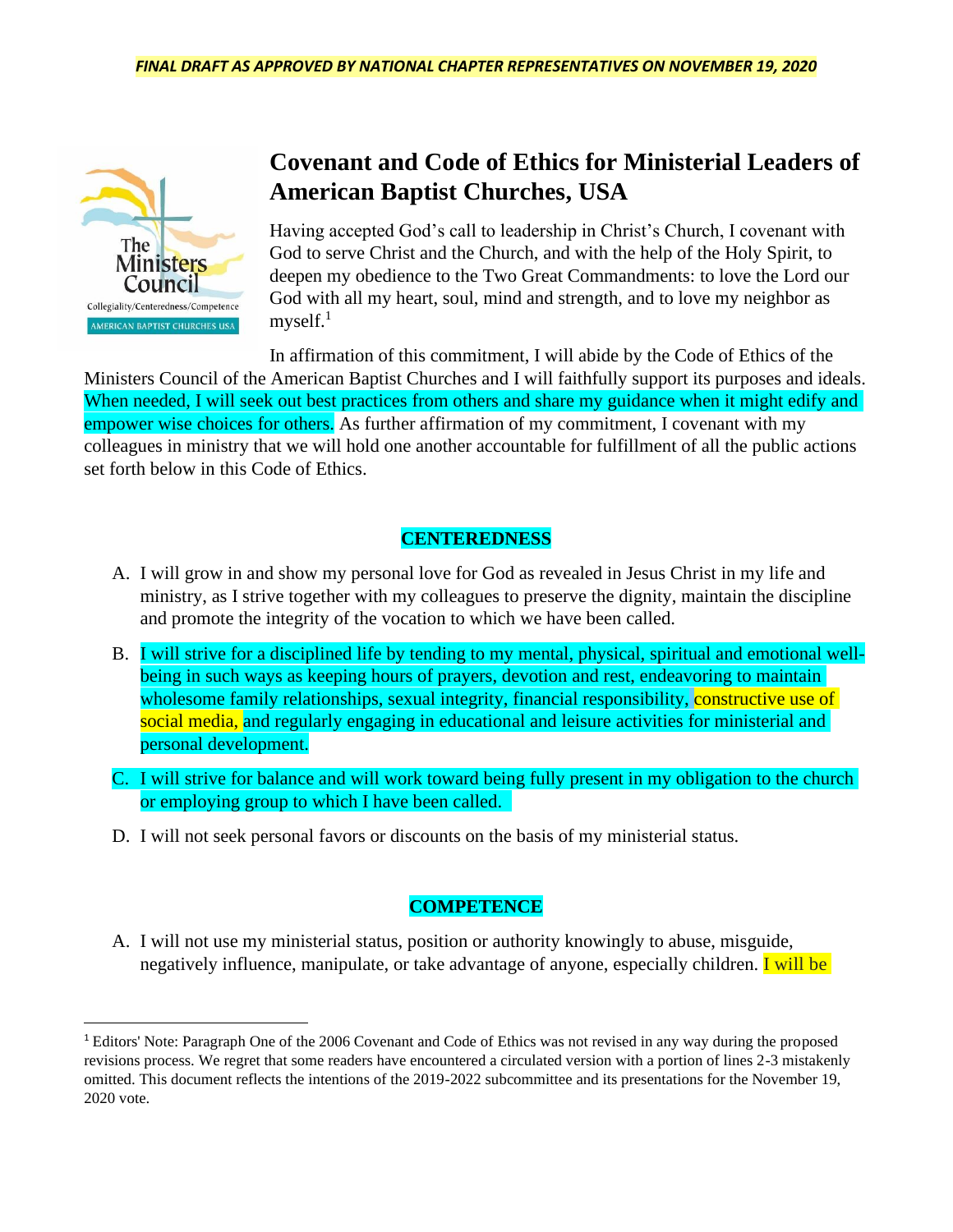

# **Covenant and Code of Ethics for Ministerial Leaders of American Baptist Churches, USA**

Having accepted God's call to leadership in Christ's Church, I covenant with God to serve Christ and the Church, and with the help of the Holy Spirit, to deepen my obedience to the Two Great Commandments: to love the Lord our God with all my heart, soul, mind and strength, and to love my neighbor as myself. $<sup>1</sup>$ </sup>

In affirmation of this commitment, I will abide by the Code of Ethics of the

Ministers Council of the American Baptist Churches and I will faithfully support its purposes and ideals. When needed, I will seek out best practices from others and share my guidance when it might edify and empower wise choices for others. As further affirmation of my commitment, I covenant with my colleagues in ministry that we will hold one another accountable for fulfillment of all the public actions set forth below in this Code of Ethics.

### **CENTEREDNESS**

- A. I will grow in and show my personal love for God as revealed in Jesus Christ in my life and ministry, as I strive together with my colleagues to preserve the dignity, maintain the discipline and promote the integrity of the vocation to which we have been called.
- B. I will strive for a disciplined life by tending to my mental, physical, spiritual and emotional wellbeing in such ways as keeping hours of prayers, devotion and rest, endeavoring to maintain wholesome family relationships, sexual integrity, financial responsibility, constructive use of social media, and regularly engaging in educational and leisure activities for ministerial and personal development.
- C. I will strive for balance and will work toward being fully present in my obligation to the church or employing group to which I have been called.
- D. I will not seek personal favors or discounts on the basis of my ministerial status.

## **COMPETENCE**

A. I will not use my ministerial status, position or authority knowingly to abuse, misguide, negatively influence, manipulate, or take advantage of anyone, especially children. **I** will be

<sup>1</sup> Editors' Note: Paragraph One of the 2006 Covenant and Code of Ethics was not revised in any way during the proposed revisions process. We regret that some readers have encountered a circulated version with a portion of lines 2-3 mistakenly omitted. This document reflects the intentions of the 2019-2022 subcommittee and its presentations for the November 19, 2020 vote.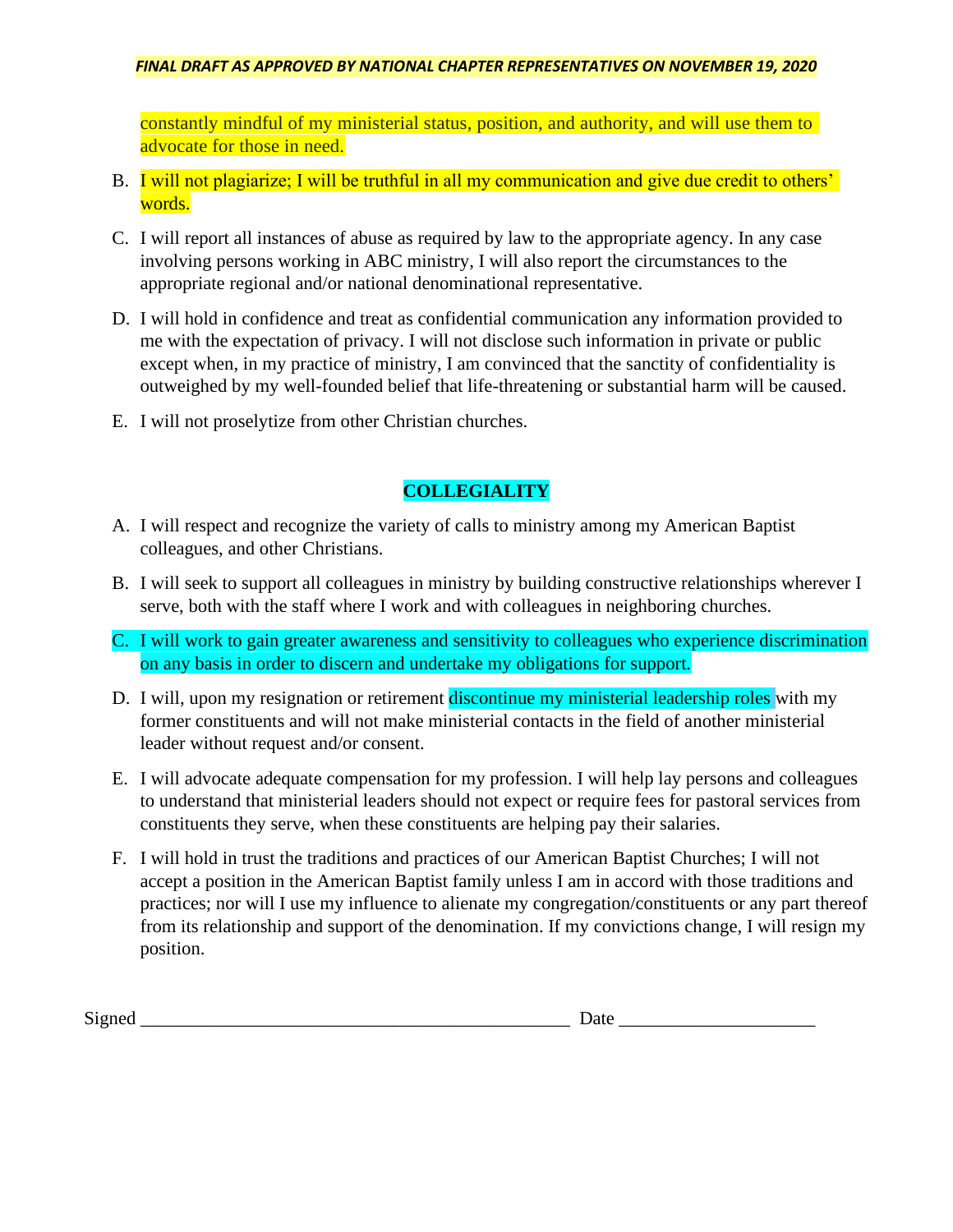### *FINAL DRAFT AS APPROVED BY NATIONAL CHAPTER REPRESENTATIVES ON NOVEMBER 19, 2020*

constantly mindful of my ministerial status, position, and authority, and will use them to advocate for those in need.

- B. I will not plagiarize; I will be truthful in all my communication and give due credit to others' words.
- C. I will report all instances of abuse as required by law to the appropriate agency. In any case involving persons working in ABC ministry, I will also report the circumstances to the appropriate regional and/or national denominational representative.
- D. I will hold in confidence and treat as confidential communication any information provided to me with the expectation of privacy. I will not disclose such information in private or public except when, in my practice of ministry, I am convinced that the sanctity of confidentiality is outweighed by my well-founded belief that life-threatening or substantial harm will be caused.
- E. I will not proselytize from other Christian churches.

## **COLLEGIALITY**

- A. I will respect and recognize the variety of calls to ministry among my American Baptist colleagues, and other Christians.
- B. I will seek to support all colleagues in ministry by building constructive relationships wherever I serve, both with the staff where I work and with colleagues in neighboring churches.
- C. I will work to gain greater awareness and sensitivity to colleagues who experience discrimination on any basis in order to discern and undertake my obligations for support*.*
- D. I will, upon my resignation or retirement discontinue my ministerial leadership roles with my former constituents and will not make ministerial contacts in the field of another ministerial leader without request and/or consent.
- E. I will advocate adequate compensation for my profession. I will help lay persons and colleagues to understand that ministerial leaders should not expect or require fees for pastoral services from constituents they serve, when these constituents are helping pay their salaries.
- F. I will hold in trust the traditions and practices of our American Baptist Churches; I will not accept a position in the American Baptist family unless I am in accord with those traditions and practices; nor will I use my influence to alienate my congregation/constituents or any part thereof from its relationship and support of the denomination. If my convictions change, I will resign my position.

Signed Date  $\Box$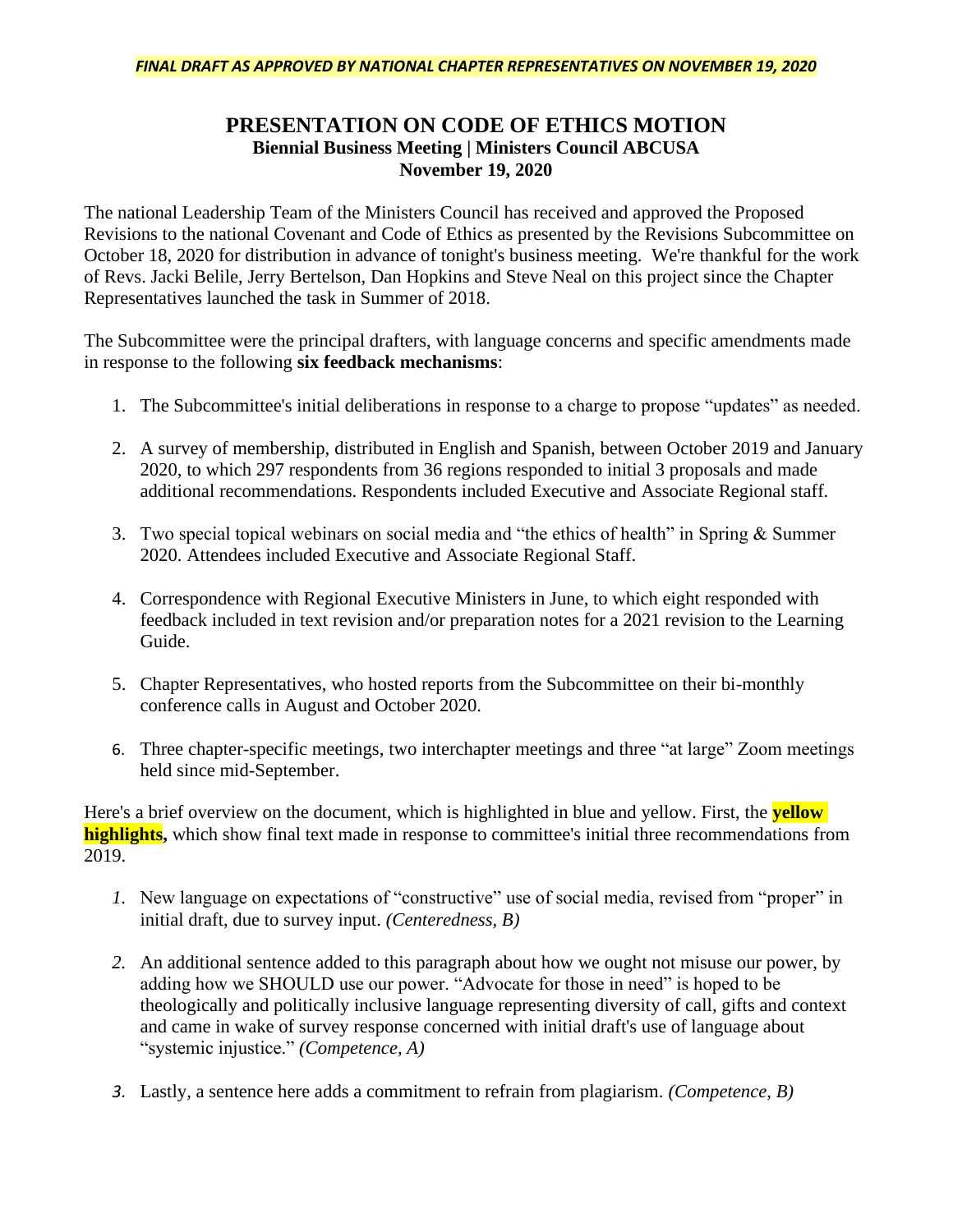#### *FINAL DRAFT AS APPROVED BY NATIONAL CHAPTER REPRESENTATIVES ON NOVEMBER 19, 2020*

## **PRESENTATION ON CODE OF ETHICS MOTION Biennial Business Meeting | Ministers Council ABCUSA November 19, 2020**

The national Leadership Team of the Ministers Council has received and approved the Proposed Revisions to the national Covenant and Code of Ethics as presented by the Revisions Subcommittee on October 18, 2020 for distribution in advance of tonight's business meeting. We're thankful for the work of Revs. Jacki Belile, Jerry Bertelson, Dan Hopkins and Steve Neal on this project since the Chapter Representatives launched the task in Summer of 2018.

The Subcommittee were the principal drafters, with language concerns and specific amendments made in response to the following **six feedback mechanisms**:

- 1. The Subcommittee's initial deliberations in response to a charge to propose "updates" as needed.
- 2. A survey of membership, distributed in English and Spanish, between October 2019 and January 2020, to which 297 respondents from 36 regions responded to initial 3 proposals and made additional recommendations. Respondents included Executive and Associate Regional staff.
- 3. Two special topical webinars on social media and "the ethics of health" in Spring & Summer 2020. Attendees included Executive and Associate Regional Staff.
- 4. Correspondence with Regional Executive Ministers in June, to which eight responded with feedback included in text revision and/or preparation notes for a 2021 revision to the Learning Guide.
- 5. Chapter Representatives, who hosted reports from the Subcommittee on their bi-monthly conference calls in August and October 2020.
- 6. Three chapter-specific meetings, two interchapter meetings and three "at large" Zoom meetings held since mid-September.

Here's a brief overview on the document, which is highlighted in blue and yellow. First, the **yellow highlights,** which show final text made in response to committee's initial three recommendations from 2019.

- *1.* New language on expectations of "constructive" use of social media, revised from "proper" in initial draft, due to survey input. *(Centeredness, B)*
- *2.* An additional sentence added to this paragraph about how we ought not misuse our power, by adding how we SHOULD use our power. "Advocate for those in need" is hoped to be theologically and politically inclusive language representing diversity of call, gifts and context and came in wake of survey response concerned with initial draft's use of language about "systemic injustice." *(Competence, A)*
- *3.* Lastly, a sentence here adds a commitment to refrain from plagiarism. *(Competence, B)*